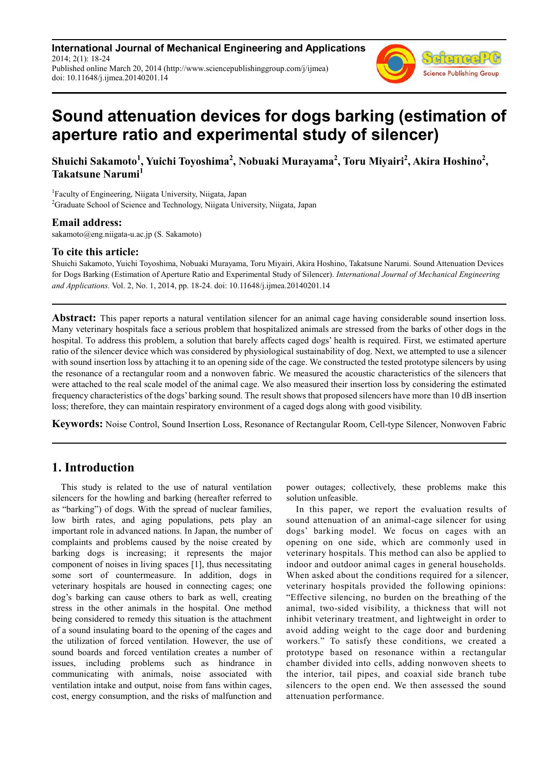**International Journal of Mechanical Engineering and Applications** 2014; 2(1): 18-24 Published online March 20, 2014 (http://www.sciencepublishinggroup.com/j/ijmea) doi: 10.11648/j.ijmea.20140201.14



# **Sound attenuation devices for dogs barking (estimation of aperture ratio and experimental study of silencer)**

**Shuichi Sakamoto<sup>1</sup> , Yuichi Toyoshima<sup>2</sup> , Nobuaki Murayama<sup>2</sup> , Toru Miyairi<sup>2</sup> , Akira Hoshino<sup>2</sup> , Takatsune Narumi<sup>1</sup>**

<sup>1</sup>Faculty of Engineering, Niigata University, Niigata, Japan <sup>2</sup>Graduate School of Science and Technology, Niigata University, Niigata, Japan

#### **Email address:**

sakamoto@eng.niigata-u.ac.jp (S. Sakamoto)

#### **To cite this article:**

Shuichi Sakamoto, Yuichi Toyoshima, Nobuaki Murayama, Toru Miyairi, Akira Hoshino, Takatsune Narumi. Sound Attenuation Devices for Dogs Barking (Estimation of Aperture Ratio and Experimental Study of Silencer). *International Journal of Mechanical Engineering and Applications.* Vol. 2, No. 1, 2014, pp. 18-24. doi: 10.11648/j.ijmea.20140201.14

**Abstract:** This paper reports a natural ventilation silencer for an animal cage having considerable sound insertion loss. Many veterinary hospitals face a serious problem that hospitalized animals are stressed from the barks of other dogs in the hospital. To address this problem, a solution that barely affects caged dogs' health is required. First, we estimated aperture ratio of the silencer device which was considered by physiological sustainability of dog. Next, we attempted to use a silencer with sound insertion loss by attaching it to an opening side of the cage. We constructed the tested prototype silencers by using the resonance of a rectangular room and a nonwoven fabric. We measured the acoustic characteristics of the silencers that were attached to the real scale model of the animal cage. We also measured their insertion loss by considering the estimated frequency characteristics of the dogs' barking sound. The result shows that proposed silencers have more than 10 dB insertion loss; therefore, they can maintain respiratory environment of a caged dogs along with good visibility.

**Keywords:** Noise Control, Sound Insertion Loss, Resonance of Rectangular Room, Cell-type Silencer, Nonwoven Fabric

## **1. Introduction**

This study is related to the use of natural ventilation silencers for the howling and barking (hereafter referred to as "barking") of dogs. With the spread of nuclear families, low birth rates, and aging populations, pets play an important role in advanced nations. In Japan, the number of complaints and problems caused by the noise created by barking dogs is increasing; it represents the major component of noises in living spaces [1], thus necessitating some sort of countermeasure. In addition, dogs in veterinary hospitals are housed in connecting cages; one dog's barking can cause others to bark as well, creating stress in the other animals in the hospital. One method being considered to remedy this situation is the attachment of a sound insulating board to the opening of the cages and the utilization of forced ventilation. However, the use of sound boards and forced ventilation creates a number of issues, including problems such as hindrance in communicating with animals, noise associated with ventilation intake and output, noise from fans within cages, cost, energy consumption, and the risks of malfunction and

power outages; collectively, these problems make this solution unfeasible.

In this paper, we report the evaluation results of sound attenuation of an animal-cage silencer for using dogs' barking model. We focus on cages with an opening on one side, which are commonly used in veterinary hospitals. This method can also be applied to indoor and outdoor animal cages in general households. When asked about the conditions required for a silencer, veterinary hospitals provided the following opinions: "Effective silencing, no burden on the breathing of the animal, two-sided visibility, a thickness that will not inhibit veterinary treatment, and lightweight in order to avoid adding weight to the cage door and burdening workers." To satisfy these conditions, we created a prototype based on resonance within a rectangular chamber divided into cells, adding nonwoven sheets to the interior, tail pipes, and coaxial side branch tube silencers to the open end. We then assessed the sound attenuation performance.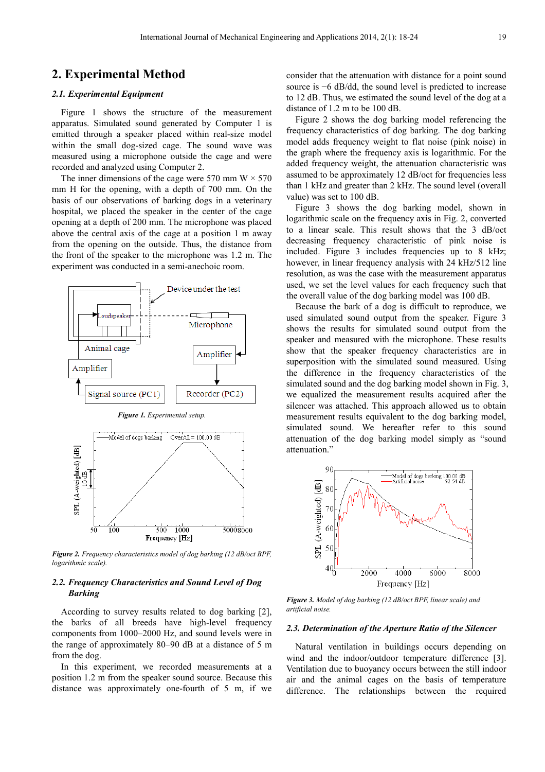## **2. Experimental Method**

#### *2.1. Experimental Equipment*

Figure 1 shows the structure of the measurement apparatus. Simulated sound generated by Computer 1 is emitted through a speaker placed within real-size model within the small dog-sized cage. The sound wave was measured using a microphone outside the cage and were recorded and analyzed using Computer 2.

The inner dimensions of the cage were 570 mm  $W \times 570$ mm H for the opening, with a depth of 700 mm. On the basis of our observations of barking dogs in a veterinary hospital, we placed the speaker in the center of the cage opening at a depth of 200 mm. The microphone was placed above the central axis of the cage at a position 1 m away from the opening on the outside. Thus, the distance from the front of the speaker to the microphone was 1.2 m. The experiment was conducted in a semi-anechoic room.



*Figure 2. Frequency characteristics model of dog barking (12 dB/oct BPF, logarithmic scale).* 

#### *2.2. Frequency Characteristics and Sound Level of Dog Barking*

According to survey results related to dog barking [2], the barks of all breeds have high-level frequency components from 1000–2000 Hz, and sound levels were in the range of approximately 80–90 dB at a distance of 5 m from the dog.

In this experiment, we recorded measurements at a position 1.2 m from the speaker sound source. Because this distance was approximately one-fourth of 5 m, if we consider that the attenuation with distance for a point sound source is −6 dB/dd, the sound level is predicted to increase to 12 dB. Thus, we estimated the sound level of the dog at a distance of 1.2 m to be 100 dB.

Figure 2 shows the dog barking model referencing the frequency characteristics of dog barking. The dog barking model adds frequency weight to flat noise (pink noise) in the graph where the frequency axis is logarithmic. For the added frequency weight, the attenuation characteristic was assumed to be approximately 12 dB/oct for frequencies less than 1 kHz and greater than 2 kHz. The sound level (overall value) was set to 100 dB.

Figure 3 shows the dog barking model, shown in logarithmic scale on the frequency axis in Fig. 2, converted to a linear scale. This result shows that the 3 dB/oct decreasing frequency characteristic of pink noise is included. Figure 3 includes frequencies up to 8 kHz; however, in linear frequency analysis with 24 kHz/512 line resolution, as was the case with the measurement apparatus used, we set the level values for each frequency such that the overall value of the dog barking model was 100 dB.

Because the bark of a dog is difficult to reproduce, we used simulated sound output from the speaker. Figure 3 shows the results for simulated sound output from the speaker and measured with the microphone. These results show that the speaker frequency characteristics are in superposition with the simulated sound measured. Using the difference in the frequency characteristics of the simulated sound and the dog barking model shown in Fig. 3, we equalized the measurement results acquired after the silencer was attached. This approach allowed us to obtain measurement results equivalent to the dog barking model, simulated sound. We hereafter refer to this sound attenuation of the dog barking model simply as "sound attenuation."



*Figure 3. Model of dog barking (12 dB/oct BPF, linear scale) and artificial noise.* 

#### *2.3. Determination of the Aperture Ratio of the Silencer*

Natural ventilation in buildings occurs depending on wind and the indoor/outdoor temperature difference [3]. Ventilation due to buoyancy occurs between the still indoor air and the animal cages on the basis of temperature difference. The relationships between the required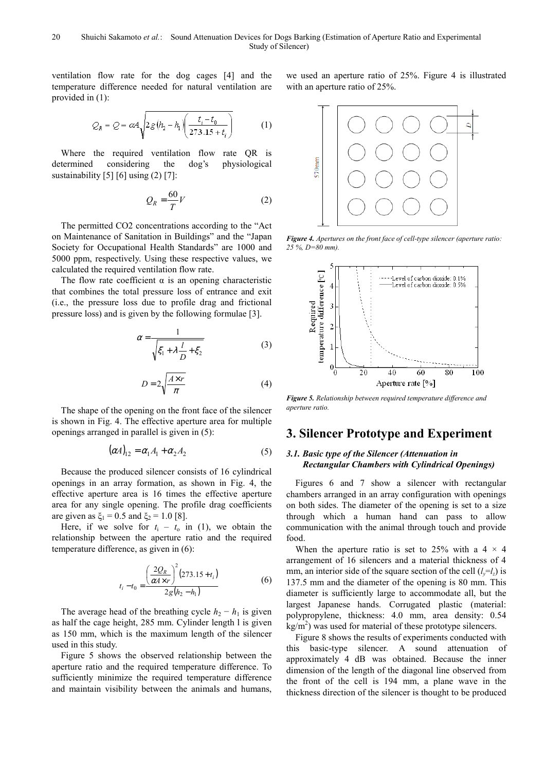ventilation flow rate for the dog cages [4] and the temperature difference needed for natural ventilation are provided in (1):

$$
Q_R = Q = \alpha A \sqrt{2g(h_2 - h_1) \left( \frac{t_i - t_0}{273.15 + t_i} \right)} \tag{1}
$$

Where the required ventilation flow rate QR is determined considering the dog's physiological sustainability [5] [6] using (2) [7]:

$$
Q_R = \frac{60}{T}V\tag{2}
$$

The permitted CO2 concentrations according to the "Act on Maintenance of Sanitation in Buildings" and the "Japan Society for Occupational Health Standards" are 1000 and 5000 ppm, respectively. Using these respective values, we calculated the required ventilation flow rate.

The flow rate coefficient  $\alpha$  is an opening characteristic that combines the total pressure loss of entrance and exit (i.e., the pressure loss due to profile drag and frictional pressure loss) and is given by the following formulae [3].

$$
\alpha = \frac{1}{\sqrt{\xi_1 + \lambda \frac{l}{D} + \xi_2}}\tag{3}
$$

$$
D = 2\sqrt{\frac{A \times r}{\pi}}\tag{4}
$$

The shape of the opening on the front face of the silencer is shown in Fig. 4. The effective aperture area for multiple openings arranged in parallel is given in (5):

$$
(\alpha A)_{12} = \alpha_1 A_1 + \alpha_2 A_2 \tag{5}
$$

Because the produced silencer consists of 16 cylindrical openings in an array formation, as shown in Fig. 4, the effective aperture area is 16 times the effective aperture area for any single opening. The profile drag coefficients are given as  $\xi_1 = 0.5$  and  $\xi_2 = 1.0$  [8].

Here, if we solve for  $t_i - t_0$  in (1), we obtain the relationship between the aperture ratio and the required temperature difference, as given in (6):

$$
t_i - t_0 = \frac{\left(\frac{2Q_R}{\alpha 4 \times r}\right)^2 (273.15 + t_i)}{2g(h_2 - h_1)}
$$
(6)

The average head of the breathing cycle  $h_2 - h_1$  is given as half the cage height, 285 mm. Cylinder length l is given as 150 mm, which is the maximum length of the silencer used in this study.

Figure 5 shows the observed relationship between the aperture ratio and the required temperature difference. To sufficiently minimize the required temperature difference and maintain visibility between the animals and humans,

we used an aperture ratio of 25%. Figure 4 is illustrated with an aperture ratio of 25%.



*Figure 4. Apertures on the front face of cell-type silencer (aperture ratio: 25 %, D=80 mm).* 



*Figure 5. Relationship between required temperature difference and aperture ratio.* 

## **3. Silencer Prototype and Experiment**

#### *3.1. Basic type of the Silencer (Attenuation in Rectangular Chambers with Cylindrical Openings)*

Figures 6 and 7 show a silencer with rectangular chambers arranged in an array configuration with openings on both sides. The diameter of the opening is set to a size through which a human hand can pass to allow communication with the animal through touch and provide food.

When the aperture ratio is set to 25% with a  $4 \times 4$ arrangement of 16 silencers and a material thickness of 4 mm, an interior side of the square section of the cell  $(l<sub>x</sub>=l<sub>z</sub>)$  is 137.5 mm and the diameter of the opening is 80 mm. This diameter is sufficiently large to accommodate all, but the largest Japanese hands. Corrugated plastic (material: polypropylene, thickness: 4.0 mm, area density: 0.54  $\text{kg/m}^2$ ) was used for material of these prototype silencers.

Figure 8 shows the results of experiments conducted with this basic-type silencer. A sound attenuation of approximately 4 dB was obtained. Because the inner dimension of the length of the diagonal line observed from the front of the cell is 194 mm, a plane wave in the thickness direction of the silencer is thought to be produced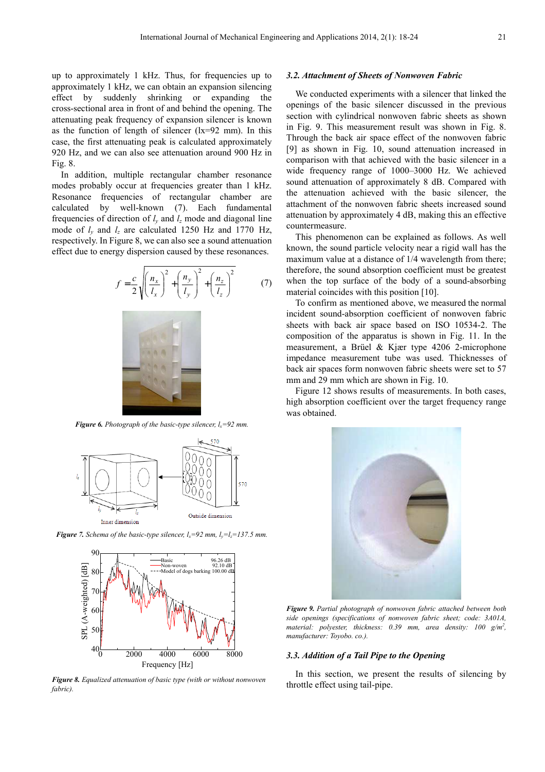up to approximately 1 kHz. Thus, for frequencies up to approximately 1 kHz, we can obtain an expansion silencing effect by suddenly shrinking or expanding the cross-sectional area in front of and behind the opening. The attenuating peak frequency of expansion silencer is known as the function of length of silencer (lx=92 mm). In this case, the first attenuating peak is calculated approximately 920 Hz, and we can also see attenuation around 900 Hz in Fig. 8.

In addition, multiple rectangular chamber resonance modes probably occur at frequencies greater than 1 kHz. Resonance frequencies of rectangular chamber are calculated by well-known (7). Each fundamental frequencies of direction of  $l_y$  and  $l_z$  mode and diagonal line mode of  $l_y$  and  $l_z$  are calculated 1250 Hz and 1770 Hz, respectively. In Figure 8, we can also see a sound attenuation effect due to energy dispersion caused by these resonances.

$$
f = \frac{c}{2} \sqrt{\left(\frac{n_x}{l_x}\right)^2 + \left(\frac{n_y}{l_y}\right)^2 + \left(\frac{n_z}{l_z}\right)^2} \tag{7}
$$



*Figure 6. Photograph of the basic-type silencer,*  $l_x = 92$  *mm.* 



*<i>Figure 7. Schema of the basic-type silencer,*  $l_x=92$  *mm,*  $l_y=l_z=137.5$  *mm.* 



*Figure 8. Equalized attenuation of basic type (with or without nonwoven fabric).* 

#### *3.2. Attachment of Sheets of Nonwoven Fabric*

We conducted experiments with a silencer that linked the openings of the basic silencer discussed in the previous section with cylindrical nonwoven fabric sheets as shown in Fig. 9. This measurement result was shown in Fig. 8. Through the back air space effect of the nonwoven fabric [9] as shown in Fig. 10, sound attenuation increased in comparison with that achieved with the basic silencer in a wide frequency range of 1000–3000 Hz. We achieved sound attenuation of approximately 8 dB. Compared with the attenuation achieved with the basic silencer, the attachment of the nonwoven fabric sheets increased sound attenuation by approximately 4 dB, making this an effective countermeasure.

This phenomenon can be explained as follows. As well known, the sound particle velocity near a rigid wall has the maximum value at a distance of  $1/4$  wavelength from there; therefore, the sound absorption coefficient must be greatest when the top surface of the body of a sound-absorbing material coincides with this position [10].

To confirm as mentioned above, we measured the normal incident sound-absorption coefficient of nonwoven fabric sheets with back air space based on ISO 10534-2. The composition of the apparatus is shown in Fig. 11. In the measurement, a Brüel & Kjær type 4206 2-microphone impedance measurement tube was used. Thicknesses of back air spaces form nonwoven fabric sheets were set to 57 mm and 29 mm which are shown in Fig. 10.

Figure 12 shows results of measurements. In both cases, high absorption coefficient over the target frequency range was obtained.



*Figure 9. Partial photograph of nonwoven fabric attached between both side openings (specifications of nonwoven fabric sheet; code: 3A01A,*  material: polyester, thickness: 0.39 mm, area density: 100 g/m<sup>2</sup>, *manufacturer: Toyobo. co.).* 

#### *3.3. Addition of a Tail Pipe to the Opening*

In this section, we present the results of silencing by throttle effect using tail-pipe.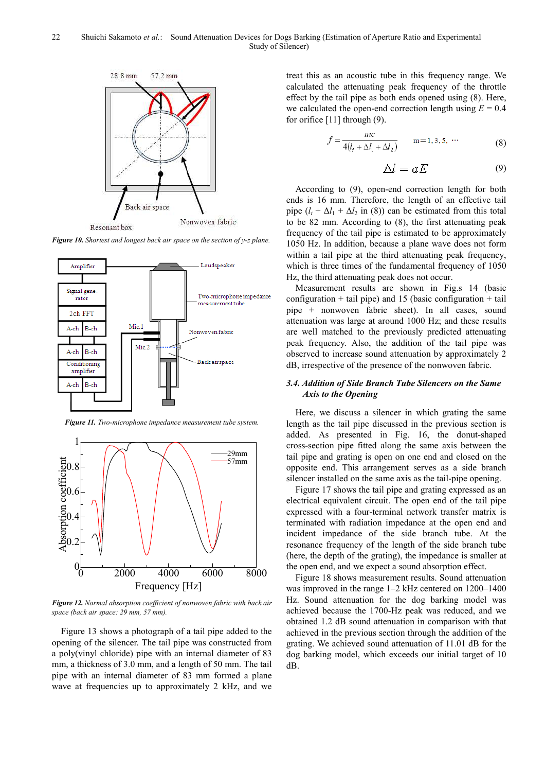

*Figure 10. Shortest and longest back air space on the section of y-z plane.* 



*Figure 11. Two-microphone impedance measurement tube system.* 



*Figure 12. Normal absorption coefficient of nonwoven fabric with back air space (back air space: 29 mm, 57 mm).* 

Figure 13 shows a photograph of a tail pipe added to the opening of the silencer. The tail pipe was constructed from a poly(vinyl chloride) pipe with an internal diameter of 83 mm, a thickness of 3.0 mm, and a length of 50 mm. The tail pipe with an internal diameter of 83 mm formed a plane wave at frequencies up to approximately 2 kHz, and we treat this as an acoustic tube in this frequency range. We calculated the attenuating peak frequency of the throttle effect by the tail pipe as both ends opened using (8). Here, we calculated the open-end correction length using  $E = 0.4$ for orifice [11] through (9).

$$
f = \frac{mc}{4(l_t + \Delta l_1 + \Delta l_2)} \qquad m = 1, 3, 5, \cdots
$$
 (8)

$$
\Delta l = aE \tag{9}
$$

According to (9), open-end correction length for both ends is 16 mm. Therefore, the length of an effective tail pipe  $(l_t + \Delta l_1 + \Delta l_2$  in (8)) can be estimated from this total to be 82 mm. According to (8), the first attenuating peak frequency of the tail pipe is estimated to be approximately 1050 Hz. In addition, because a plane wave does not form within a tail pipe at the third attenuating peak frequency, which is three times of the fundamental frequency of 1050 Hz, the third attenuating peak does not occur.

Measurement results are shown in Fig.s 14 (basic configuration  $+$  tail pipe) and 15 (basic configuration  $+$  tail pipe + nonwoven fabric sheet). In all cases, sound attenuation was large at around 1000 Hz; and these results are well matched to the previously predicted attenuating peak frequency. Also, the addition of the tail pipe was observed to increase sound attenuation by approximately 2 dB, irrespective of the presence of the nonwoven fabric.

#### *3.4. Addition of Side Branch Tube Silencers on the Same Axis to the Opening*

Here, we discuss a silencer in which grating the same length as the tail pipe discussed in the previous section is added. As presented in Fig. 16, the donut-shaped cross-section pipe fitted along the same axis between the tail pipe and grating is open on one end and closed on the opposite end. This arrangement serves as a side branch silencer installed on the same axis as the tail-pipe opening.

Figure 17 shows the tail pipe and grating expressed as an electrical equivalent circuit. The open end of the tail pipe expressed with a four-terminal network transfer matrix is terminated with radiation impedance at the open end and incident impedance of the side branch tube. At the resonance frequency of the length of the side branch tube (here, the depth of the grating), the impedance is smaller at the open end, and we expect a sound absorption effect.

Figure 18 shows measurement results. Sound attenuation was improved in the range 1–2 kHz centered on 1200–1400 Hz. Sound attenuation for the dog barking model was achieved because the 1700-Hz peak was reduced, and we obtained 1.2 dB sound attenuation in comparison with that achieved in the previous section through the addition of the grating. We achieved sound attenuation of 11.01 dB for the dog barking model, which exceeds our initial target of 10 dB.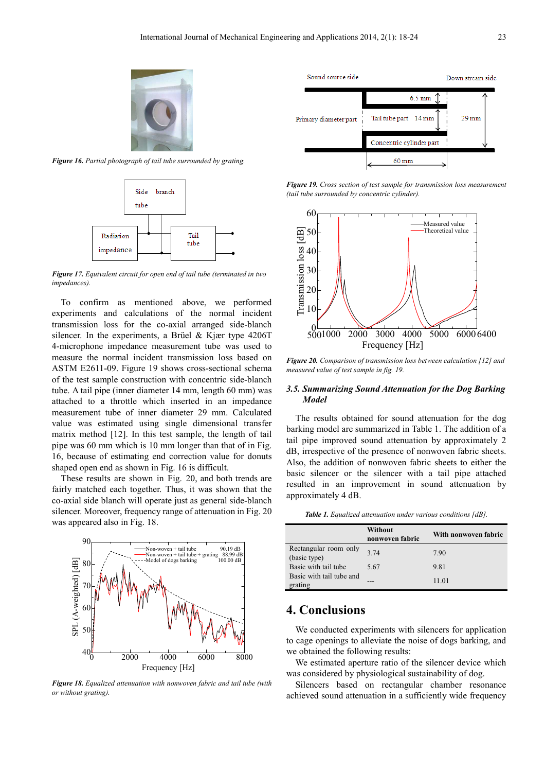

*Figure 16. Partial photograph of tail tube surrounded by grating.* 



*Figure 17. Equivalent circuit for open end of tail tube (terminated in two impedances).* 

To confirm as mentioned above, we performed experiments and calculations of the normal incident transmission loss for the co-axial arranged side-blanch silencer. In the experiments, a Brüel & Kjær type 4206T 4-microphone impedance measurement tube was used to measure the normal incident transmission loss based on ASTM E2611-09. Figure 19 shows cross-sectional schema of the test sample construction with concentric side-blanch tube. A tail pipe (inner diameter 14 mm, length 60 mm) was attached to a throttle which inserted in an impedance measurement tube of inner diameter 29 mm. Calculated value was estimated using single dimensional transfer matrix method [12]. In this test sample, the length of tail pipe was 60 mm which is 10 mm longer than that of in Fig. 16, because of estimating end correction value for donuts shaped open end as shown in Fig. 16 is difficult.

These results are shown in Fig. 20, and both trends are fairly matched each together. Thus, it was shown that the co-axial side blanch will operate just as general side-blanch silencer. Moreover, frequency range of attenuation in Fig. 20 was appeared also in Fig. 18.



*Figure 18. Equalized attenuation with nonwoven fabric and tail tube (with or without grating).* 

Sound source side Down stream side  $6.5 \text{ mm}$  $29 \text{ mm}$ Primary diameter part Tail tube part 14 mm Concentric cylinder part 60 mm

*Figure 19. Cross section of test sample for transmission loss measurement (tail tube surrounded by concentric cylinder).* 



*Figure 20. Comparison of transmission loss between calculation [12] and measured value of test sample in fig. 19.* 

#### *3.5. Summarizing Sound Attenuation for the Dog Barking Model*

The results obtained for sound attenuation for the dog barking model are summarized in Table 1. The addition of a tail pipe improved sound attenuation by approximately 2 dB, irrespective of the presence of nonwoven fabric sheets. Also, the addition of nonwoven fabric sheets to either the basic silencer or the silencer with a tail pipe attached resulted in an improvement in sound attenuation by approximately 4 dB.

*Table 1. Equalized attenuation under various conditions [dB].* 

|                                       | Without<br>nonwoven fabric | With nonwoven fabric |
|---------------------------------------|----------------------------|----------------------|
| Rectangular room only<br>(basic type) | 3 74                       | 7.90                 |
| Basic with tail tube                  | 5.67                       | 9.81                 |
| Basic with tail tube and<br>grating   |                            | 11.01                |

## **4. Conclusions**

We conducted experiments with silencers for application to cage openings to alleviate the noise of dogs barking, and we obtained the following results:

We estimated aperture ratio of the silencer device which was considered by physiological sustainability of dog.

Silencers based on rectangular chamber resonance achieved sound attenuation in a sufficiently wide frequency